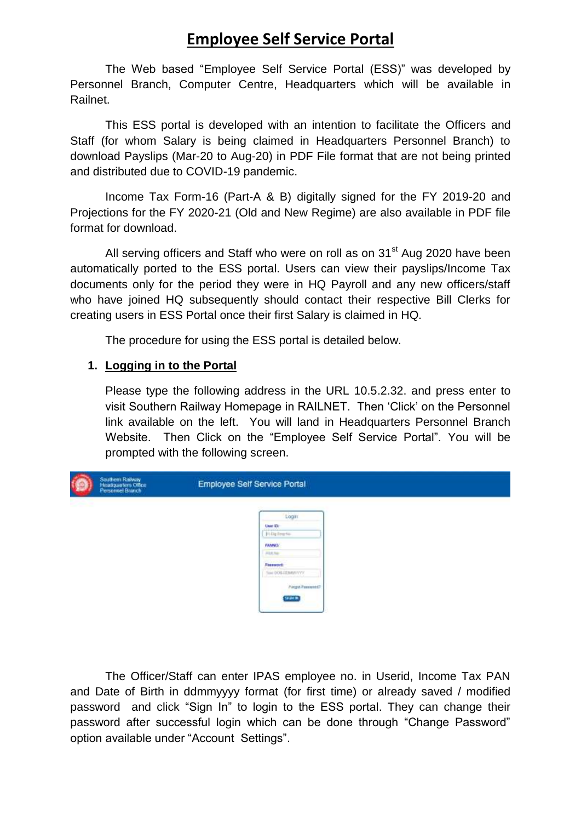# **Employee Self Service Portal**

The Web based "Employee Self Service Portal (ESS)" was developed by Personnel Branch, Computer Centre, Headquarters which will be available in Railnet.

This ESS portal is developed with an intention to facilitate the Officers and Staff (for whom Salary is being claimed in Headquarters Personnel Branch) to download Payslips (Mar-20 to Aug-20) in PDF File format that are not being printed and distributed due to COVID-19 pandemic.

Income Tax Form-16 (Part-A & B) digitally signed for the FY 2019-20 and Projections for the FY 2020-21 (Old and New Regime) are also available in PDF file format for download.

All serving officers and Staff who were on roll as on 31<sup>st</sup> Aug 2020 have been automatically ported to the ESS portal. Users can view their payslips/Income Tax documents only for the period they were in HQ Payroll and any new officers/staff who have joined HQ subsequently should contact their respective Bill Clerks for creating users in ESS Portal once their first Salary is claimed in HQ.

The procedure for using the ESS portal is detailed below.

## **1. Logging in to the Portal**

Please type the following address in the URL 10.5.2.32. and press enter to visit Southern Railway Homepage in RAILNET. Then 'Click' on the Personnel link available on the left. You will land in Headquarters Personnel Branch Website. Then Click on the "Employee Self Service Portal". You will be prompted with the following screen.

| ś | Southern Railway<br>Headquartern Office<br>Personnel Branch | Employee Self Service Portal |  |  |  |
|---|-------------------------------------------------------------|------------------------------|--|--|--|
|   |                                                             | Login                        |  |  |  |
|   |                                                             | User ID.                     |  |  |  |
|   |                                                             | \$140g Engrham               |  |  |  |
|   |                                                             | PAMVO:                       |  |  |  |
|   |                                                             | <b>Abbi Nav</b>              |  |  |  |
|   |                                                             | Passworth                    |  |  |  |
|   |                                                             | Text DOG EDMONTYV.           |  |  |  |
|   |                                                             | Page Farmer<br>SIMM.         |  |  |  |
|   |                                                             |                              |  |  |  |

The Officer/Staff can enter IPAS employee no. in Userid, Income Tax PAN and Date of Birth in ddmmyyyy format (for first time) or already saved / modified password and click "Sign In" to login to the ESS portal. They can change their password after successful login which can be done through "Change Password" option available under "Account Settings".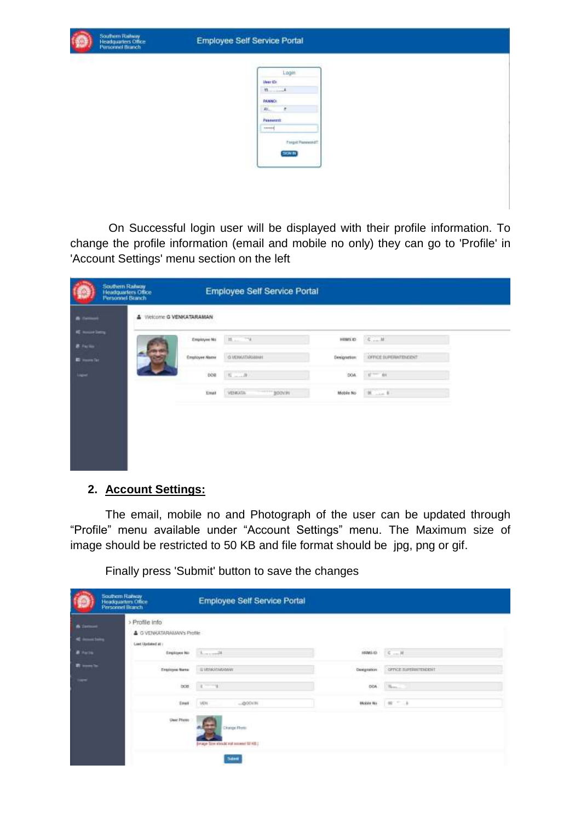

On Successful login user will be displayed with their profile information. To change the profile information (email and mobile no only) they can go to 'Profile' in 'Account Settings' menu section on the left

|                                        | Southern Railway<br>Headquarters Office<br>Personnel Branch |                      | Employee Self Service Portal |             |                       |  |
|----------------------------------------|-------------------------------------------------------------|----------------------|------------------------------|-------------|-----------------------|--|
|                                        | <b>4</b> Welcome G VENKATARAMAN                             |                      |                              |             |                       |  |
| <b>Call Service</b><br><b>B</b> Factor |                                                             | Employee No.         | $\mathbb{H}$ , $\sim 74$     | HRMS ID     | $G$ M                 |  |
| <b>C</b> House Tax                     |                                                             | <b>Employee Name</b> | <b>G.VEHKATHRIMMAN</b>       | Designation | OFFICE SUPERINTENDENT |  |
| <b>Light</b>                           |                                                             | 008                  | $n = n$                      | DOA         | $47 - 44$             |  |
|                                        |                                                             | Enail                | <b>VENUOL</b><br>$-1000$     | Mobile No.  |                       |  |
|                                        |                                                             |                      |                              |             |                       |  |
|                                        |                                                             |                      |                              |             |                       |  |
|                                        |                                                             |                      |                              |             |                       |  |
|                                        |                                                             |                      |                              |             |                       |  |

## **2. Account Settings:**

The email, mobile no and Photograph of the user can be updated through "Profile" menu available under "Account Settings" menu. The Maximum size of image should be restricted to 50 KB and file format should be jpg, png or gif.

Southern Ratway<br>Headquarters Office<br>Personnel Branch Employee Self Service Portal > Profile Info A G VENKATARAMAN's Profile List Optated at a Engineering Location  $\mathsf{SSWAB} \qquad \mathsf{C} \ \ldots \ \mathsf{M}$ II VENKATARA once sustainment Frederick Bank  $\mathbf{H}_{\mathrm{Pb}}$  . bon.  $\mathbf{r}$ Mobile May 1 - 1 **Gaust** 

Finally press 'Submit' button to save the changes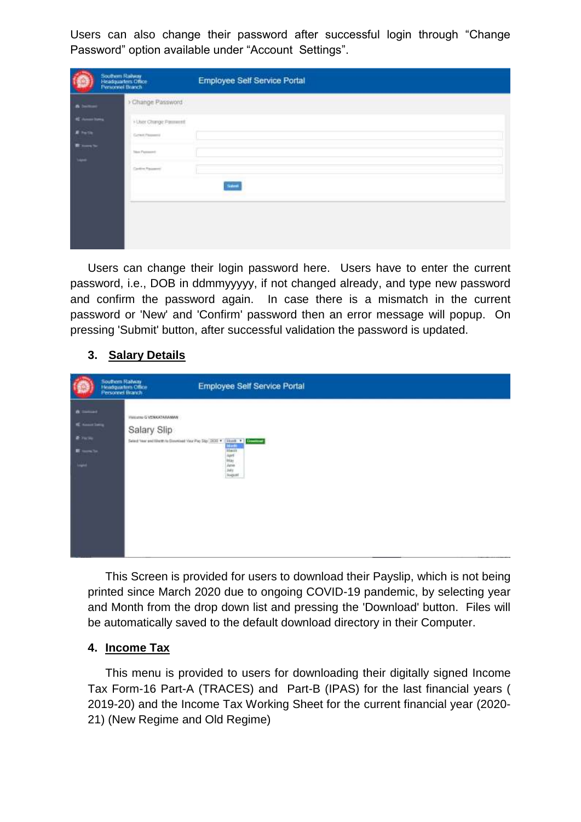Users can also change their password after successful login through "Change Password" option available under "Account Settings".

|                                                                                   | Southern Railway<br>Headquartern Office<br>Personnel Branch                                                                                                      | Employee Self Service Portal |
|-----------------------------------------------------------------------------------|------------------------------------------------------------------------------------------------------------------------------------------------------------------|------------------------------|
| <b>Annual States</b><br><b>River</b><br><b>The Second</b><br><b>All Contracts</b> | Change Password<br>A VIII STANDARD MARKET<br>+ User Change Pannwrth<br>Current Plassers in<br><b>CONTRACTOR</b><br><b>Telest Figures and</b><br>Cardine Password | <b>Sizen</b>                 |
|                                                                                   |                                                                                                                                                                  |                              |

Users can change their login password here. Users have to enter the current password, i.e., DOB in ddmmyyyyy, if not changed already, and type new password and confirm the password again. In case there is a mismatch in the current password or 'New' and 'Confirm' password then an error message will popup. On pressing 'Submit' button, after successful validation the password is updated.

## **3. Salary Details**



This Screen is provided for users to download their Payslip, which is not being printed since March 2020 due to ongoing COVID-19 pandemic, by selecting year and Month from the drop down list and pressing the 'Download' button. Files will be automatically saved to the default download directory in their Computer.

## **4. Income Tax**

This menu is provided to users for downloading their digitally signed Income Tax Form-16 Part-A (TRACES) and Part-B (IPAS) for the last financial years ( 2019-20) and the Income Tax Working Sheet for the current financial year (2020- 21) (New Regime and Old Regime)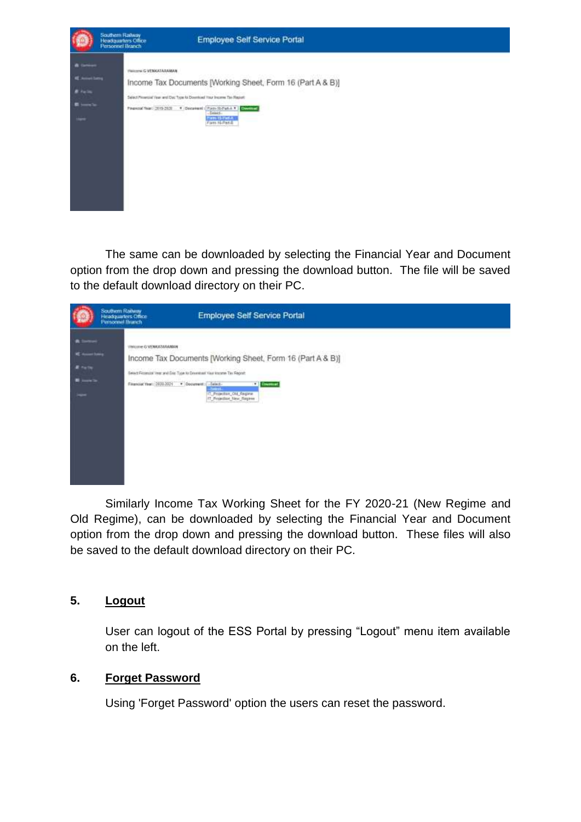

The same can be downloaded by selecting the Financial Year and Document option from the drop down and pressing the download button. The file will be saved to the default download directory on their PC.



Similarly Income Tax Working Sheet for the FY 2020-21 (New Regime and Old Regime), can be downloaded by selecting the Financial Year and Document option from the drop down and pressing the download button. These files will also be saved to the default download directory on their PC.

## **5. Logout**

User can logout of the ESS Portal by pressing "Logout" menu item available on the left.

## **6. Forget Password**

Using 'Forget Password' option the users can reset the password.